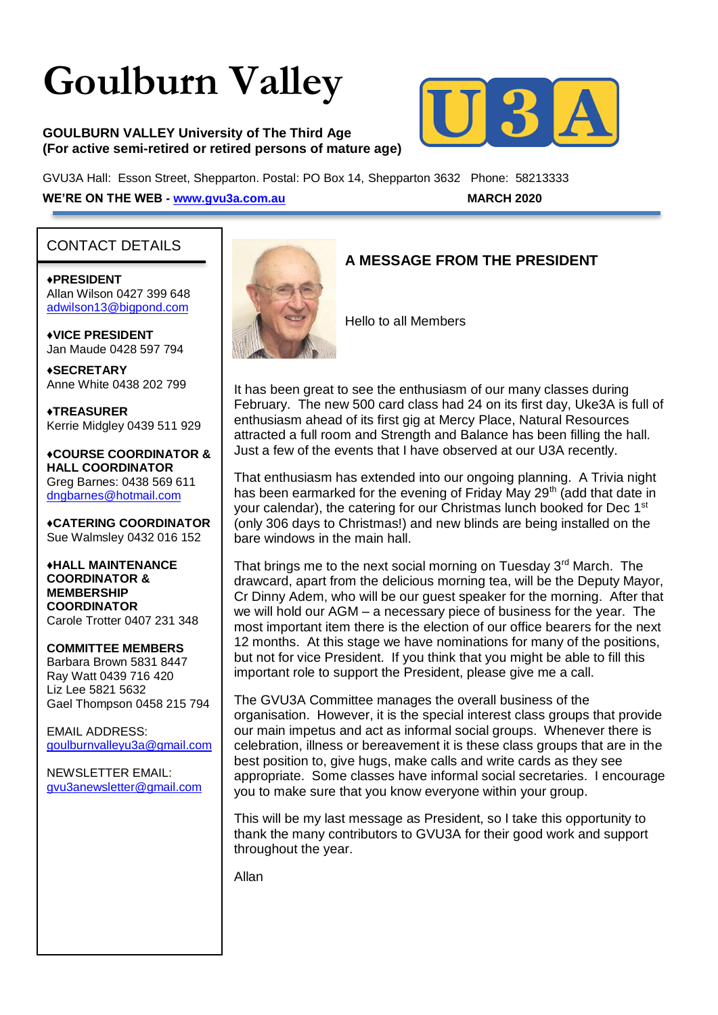# **Goulburn Valley**

#### **GOULBURN VALLEY University of The Third Age (For active semi-retired or retired persons of mature age)**



GVU3A Hall: Esson Street, Shepparton. Postal: PO Box 14, Shepparton 3632 Phone: 58213333 **WE'RE ON THE WEB - [www.gvu3a.com.au](http://www.gvu3a.com.au/) MARCH 2020**

#### CONTACT DETAILS

♦**PRESIDENT** Allan Wilson 0427 399 648 [adwilson13@bigpond.com](mailto:adwilson13@bigpond.com)

♦**VICE PRESIDENT** Jan Maude 0428 597 794

**♦SECRETARY** Anne White 0438 202 799

**♦TREASURER** Kerrie Midgley 0439 511 929

♦**COURSE COORDINATOR & HALL COORDINATOR** Greg Barnes: 0438 569 611 [dngbarnes@hotmail.com](mailto:dngbarnes@hotmail.com)

♦**CATERING COORDINATOR** Sue Walmsley 0432 016 152

♦**HALL MAINTENANCE COORDINATOR & MEMBERSHIP COORDINATOR** Carole Trotter 0407 231 348

**COMMITTEE MEMBERS** Barbara Brown 5831 8447 Ray Watt 0439 716 420 Liz Lee 5821 5632 Gael Thompson 0458 215 794

EMAIL ADDRESS: [goulburnvalleyu3a@gmail.com](mailto:goulburnvalleyu3a@gmail.com)

NEWSLETTER EMAIL: [gvu3anewsletter@gmail.com](mailto:gvu3anewsletter@gmail.com)



#### **A MESSAGE FROM THE PRESIDENT**

Hello to all Members

It has been great to see the enthusiasm of our many classes during February. The new 500 card class had 24 on its first day, Uke3A is full of enthusiasm ahead of its first gig at Mercy Place, Natural Resources attracted a full room and Strength and Balance has been filling the hall. Just a few of the events that I have observed at our U3A recently.

That enthusiasm has extended into our ongoing planning. A Trivia night has been earmarked for the evening of Friday May 29<sup>th</sup> (add that date in your calendar), the catering for our Christmas lunch booked for Dec 1<sup>st</sup> (only 306 days to Christmas!) and new blinds are being installed on the bare windows in the main hall.

That brings me to the next social morning on Tuesday 3<sup>rd</sup> March. The drawcard, apart from the delicious morning tea, will be the Deputy Mayor, Cr Dinny Adem, who will be our guest speaker for the morning. After that we will hold our AGM – a necessary piece of business for the year. The most important item there is the election of our office bearers for the next 12 months. At this stage we have nominations for many of the positions, but not for vice President. If you think that you might be able to fill this important role to support the President, please give me a call.

The GVU3A Committee manages the overall business of the organisation. However, it is the special interest class groups that provide our main impetus and act as informal social groups. Whenever there is celebration, illness or bereavement it is these class groups that are in the best position to, give hugs, make calls and write cards as they see appropriate. Some classes have informal social secretaries. I encourage you to make sure that you know everyone within your group.

This will be my last message as President, so I take this opportunity to thank the many contributors to GVU3A for their good work and support throughout the year.

Allan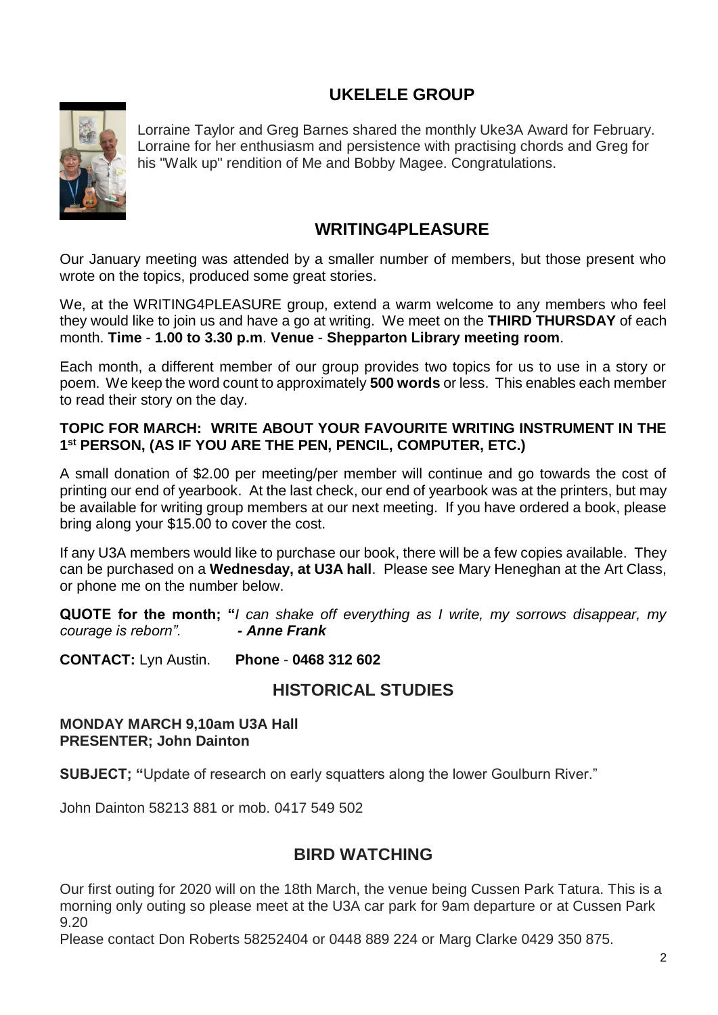# **UKELELE GROUP**



Lorraine Taylor and Greg Barnes shared the monthly Uke3A Award for February. Lorraine for her enthusiasm and persistence with practising chords and Greg for his "Walk up" rendition of Me and Bobby Magee. Congratulations.

#### **WRITING4PLEASURE**

Our January meeting was attended by a smaller number of members, but those present who wrote on the topics, produced some great stories.

We, at the WRITING4PLEASURE group, extend a warm welcome to any members who feel they would like to join us and have a go at writing. We meet on the **THIRD THURSDAY** of each month. **Time** - **1.00 to 3.30 p.m**. **Venue** - **Shepparton Library meeting room**.

Each month, a different member of our group provides two topics for us to use in a story or poem. We keep the word count to approximately **500 words** or less. This enables each member to read their story on the day.

#### **TOPIC FOR MARCH: WRITE ABOUT YOUR FAVOURITE WRITING INSTRUMENT IN THE 1 st PERSON, (AS IF YOU ARE THE PEN, PENCIL, COMPUTER, ETC.)**

A small donation of \$2.00 per meeting/per member will continue and go towards the cost of printing our end of yearbook. At the last check, our end of yearbook was at the printers, but may be available for writing group members at our next meeting. If you have ordered a book, please bring along your \$15.00 to cover the cost.

If any U3A members would like to purchase our book, there will be a few copies available. They can be purchased on a **Wednesday, at U3A hall**. Please see Mary Heneghan at the Art Class, or phone me on the number below.

**QUOTE for the month; "***I can shake off everything as I write, my sorrows disappear, my courage is reborn". - Anne Frank*

**CONTACT:** Lyn Austin. **Phone** - **0468 312 602**

## **HISTORICAL STUDIES**

#### **MONDAY MARCH 9,10am U3A Hall PRESENTER; John Dainton**

**SUBJECT; "**Update of research on early squatters along the lower Goulburn River."

John Dainton 58213 881 or mob. 0417 549 502

## **BIRD WATCHING**

Our first outing for 2020 will on the 18th March, the venue being Cussen Park Tatura. This is a morning only outing so please meet at the U3A car park for 9am departure or at Cussen Park 9.20

Please contact Don Roberts 58252404 or 0448 889 224 or Marg Clarke 0429 350 875.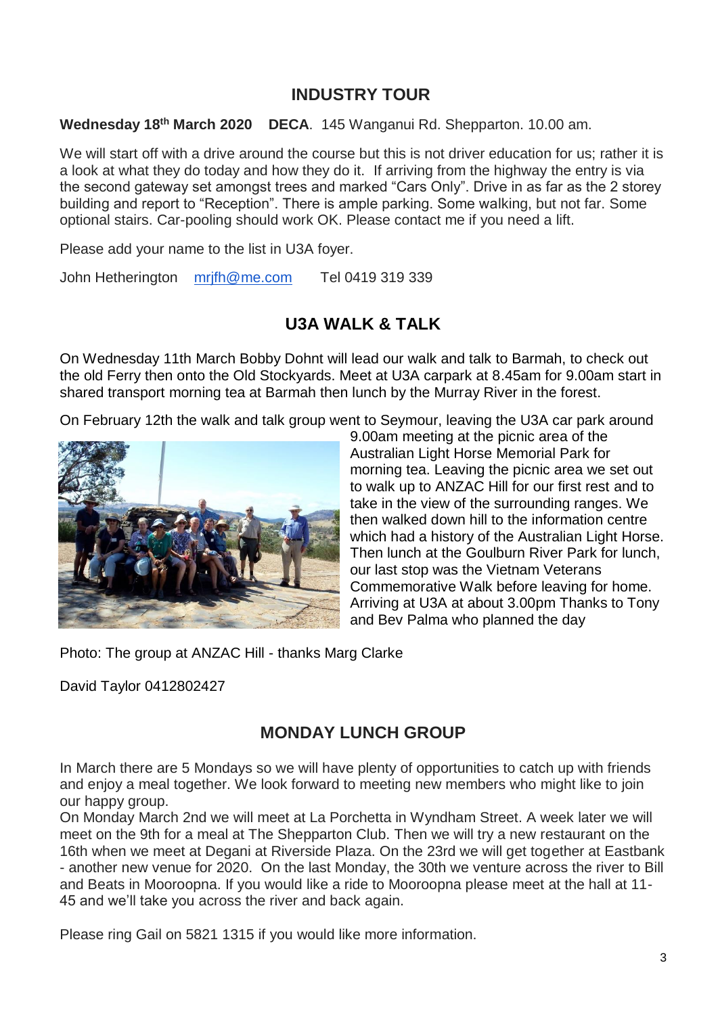## **INDUSTRY TOUR**

**Wednesday 18th March 2020 DECA**. 145 Wanganui Rd. Shepparton. 10.00 am.

We will start off with a drive around the course but this is not driver education for us; rather it is a look at what they do today and how they do it. If arriving from the highway the entry is via the second gateway set amongst trees and marked "Cars Only". Drive in as far as the 2 storey building and report to "Reception". There is ample parking. Some walking, but not far. Some optional stairs. Car-pooling should work OK. Please contact me if you need a lift.

Please add your name to the list in U3A foyer.

John Hetherington [mrjfh@me.com](mailto:mrjfh@me.com) Tel 0419 319 339

# **U3A WALK & TALK**

On Wednesday 11th March Bobby Dohnt will lead our walk and talk to Barmah, to check out the old Ferry then onto the Old Stockyards. Meet at U3A carpark at 8.45am for 9.00am start in shared transport morning tea at Barmah then lunch by the Murray River in the forest.

On February 12th the walk and talk group went to Seymour, leaving the U3A car park around



9.00am meeting at the picnic area of the Australian Light Horse Memorial Park for morning tea. Leaving the picnic area we set out to walk up to ANZAC Hill for our first rest and to take in the view of the surrounding ranges. We then walked down hill to the information centre which had a history of the Australian Light Horse. Then lunch at the Goulburn River Park for lunch, our last stop was the Vietnam Veterans Commemorative Walk before leaving for home. Arriving at U3A at about 3.00pm Thanks to Tony and Bev Palma who planned the day

Photo: The group at ANZAC Hill - thanks Marg Clarke

David Taylor 0412802427

## **MONDAY LUNCH GROUP**

In March there are 5 Mondays so we will have plenty of opportunities to catch up with friends and enjoy a meal together. We look forward to meeting new members who might like to join our happy group.

On Monday March 2nd we will meet at La Porchetta in Wyndham Street. A week later we will meet on the 9th for a meal at The Shepparton Club. Then we will try a new restaurant on the 16th when we meet at Degani at Riverside Plaza. On the 23rd we will get together at Eastbank - another new venue for 2020. On the last Monday, the 30th we venture across the river to Bill and Beats in Mooroopna. If you would like a ride to Mooroopna please meet at the hall at 11- 45 and we'll take you across the river and back again.

Please ring Gail on 5821 1315 if you would like more information.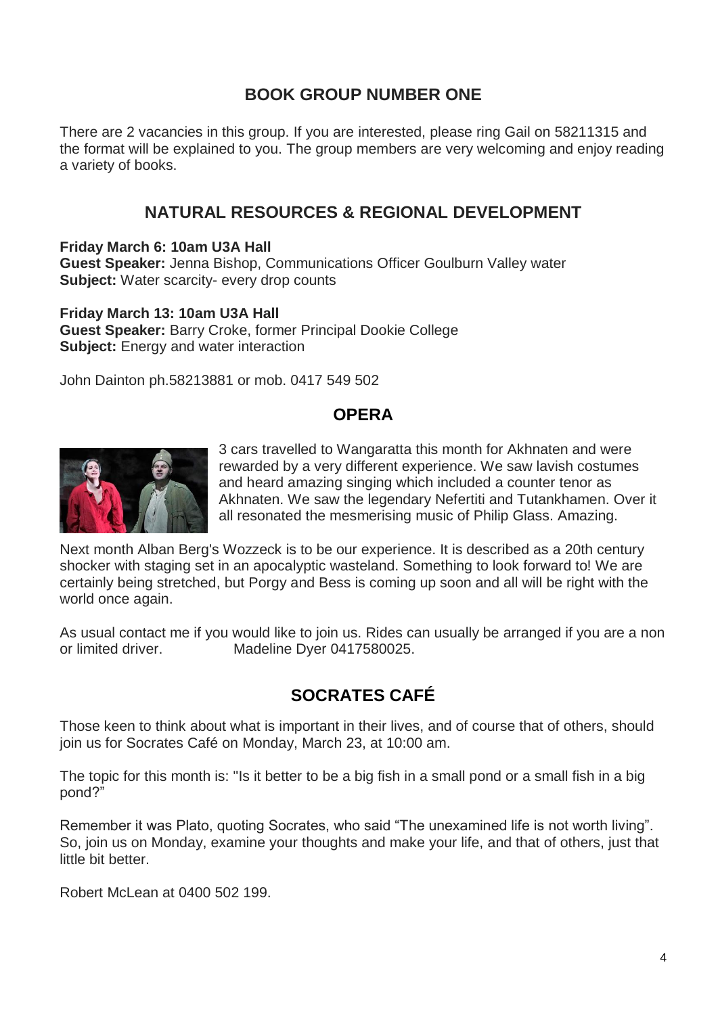# **BOOK GROUP NUMBER ONE**

There are 2 vacancies in this group. If you are interested, please ring Gail on 58211315 and the format will be explained to you. The group members are very welcoming and enjoy reading a variety of books.

## **NATURAL RESOURCES & REGIONAL DEVELOPMENT**

**Friday March 6: 10am U3A Hall**

**Guest Speaker:** Jenna Bishop, Communications Officer Goulburn Valley water **Subject:** Water scarcity- every drop counts

**Friday March 13: 10am U3A Hall Guest Speaker:** Barry Croke, former Principal Dookie College **Subject:** Energy and water interaction

John Dainton ph.58213881 or mob. 0417 549 502

#### **OPERA**



3 cars travelled to Wangaratta this month for Akhnaten and were rewarded by a very different experience. We saw lavish costumes and heard amazing singing which included a counter tenor as Akhnaten. We saw the legendary Nefertiti and Tutankhamen. Over it all resonated the mesmerising music of Philip Glass. Amazing.

Next month Alban Berg's Wozzeck is to be our experience. It is described as a 20th century shocker with staging set in an apocalyptic wasteland. Something to look forward to! We are certainly being stretched, but Porgy and Bess is coming up soon and all will be right with the world once again.

As usual contact me if you would like to join us. Rides can usually be arranged if you are a non or limited driver. Madeline Dyer 0417580025.

# **SOCRATES CAFÉ**

Those keen to think about what is important in their lives, and of course that of others, should join us for Socrates Café on Monday, March 23, at 10:00 am.

The topic for this month is: "Is it better to be a big fish in a small pond or a small fish in a big pond?"

Remember it was Plato, quoting Socrates, who said "The unexamined life is not worth living". So, join us on Monday, examine your thoughts and make your life, and that of others, just that little bit better.

Robert McLean at 0400 502 199.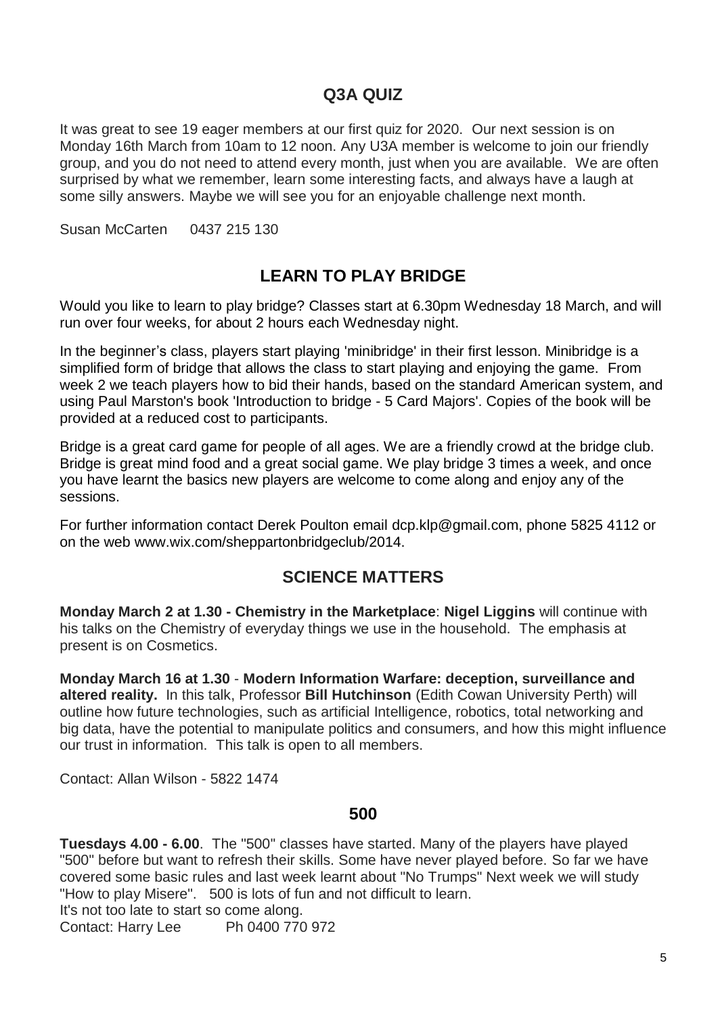### **Q3A QUIZ**

It was great to see 19 eager members at our first quiz for 2020. Our next session is on Monday 16th March from 10am to 12 noon. Any U3A member is welcome to join our friendly group, and you do not need to attend every month, just when you are available. We are often surprised by what we remember, learn some interesting facts, and always have a laugh at some silly answers. Maybe we will see you for an enjoyable challenge next month.

Susan McCarten 0437 215 130

# **LEARN TO PLAY BRIDGE**

Would you like to learn to play bridge? Classes start at 6.30pm Wednesday 18 March, and will run over four weeks, for about 2 hours each Wednesday night.

In the beginner's class, players start playing 'minibridge' in their first lesson. Minibridge is a simplified form of bridge that allows the class to start playing and enjoying the game. From week 2 we teach players how to bid their hands, based on the standard American system, and using Paul Marston's book 'Introduction to bridge - 5 Card Majors'. Copies of the book will be provided at a reduced cost to participants.

Bridge is a great card game for people of all ages. We are a friendly crowd at the bridge club. Bridge is great mind food and a great social game. We play bridge 3 times a week, and once you have learnt the basics new players are welcome to come along and enjoy any of the sessions.

For further information contact Derek Poulton email [dcp.klp@g](mailto:dcp.klp@bigpond.net.au)mail.com, phone 5825 4112 or on the web www.wix.com/sheppartonbridgeclub/2014.

#### **SCIENCE MATTERS**

**Monday March 2 at 1.30 - Chemistry in the Marketplace**: **Nigel Liggins** will continue with his talks on the Chemistry of everyday things we use in the household. The emphasis at present is on Cosmetics.

**Monday March 16 at 1.30** - **Modern Information Warfare: deception, surveillance and altered reality.** In this talk, Professor **Bill Hutchinson** (Edith Cowan University Perth) will outline how future technologies, such as artificial Intelligence, robotics, total networking and big data, have the potential to manipulate politics and consumers, and how this might influence our trust in information. This talk is open to all members.

Contact: Allan Wilson - 5822 1474

#### **500**

**Tuesdays 4.00 - 6.00**. The ''500'' classes have started. Many of the players have played "500" before but want to refresh their skills. Some have never played before. So far we have covered some basic rules and last week learnt about "No Trumps" Next week we will study "How to play Misere". 500 is lots of fun and not difficult to learn.

It's not too late to start so come along.

Contact: Harry Lee Ph 0400 770 972